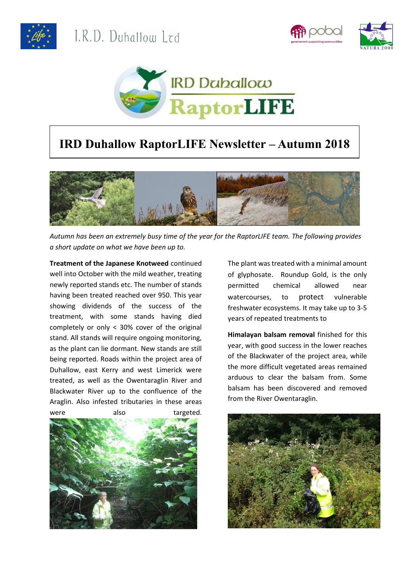





## **IRD Duhallow RaptorLIFE Newsletter – Autumn 2018**



*Autumn has been an extremely busy time of the year for the RaptorLIFE team. The following provides a short update on what we have been up to.*

**Treatment of the Japanese Knotweed** continued well into October with the mild weather, treating newly reported stands etc. The number of stands having been treated reached over 950. This year showing dividends of the success of the treatment, with some stands having died completely or only < 30% cover of the original stand. All stands will require ongoing monitoring, as the plant can lie dormant. New stands are still being reported. Roads within the project area of Duhallow, east Kerry and west Limerick were treated, as well as the Owentaraglin River and Blackwater River up to the confluence of the Araglin. Also infested tributaries in these areas were also targeted.



The plant was treated with a minimal amount of glyphosate. Roundup Gold, is the only permitted chemical allowed near watercourses, to protect vulnerable freshwater ecosystems. It may take up to 3-5 years of repeated treatments to

**Himalayan balsam removal** finished for this year, with good success in the lower reaches of the Blackwater of the project area, while the more difficult vegetated areas remained arduous to clear the balsam from. Some balsam has been discovered and removed from the River Owentaraglin.